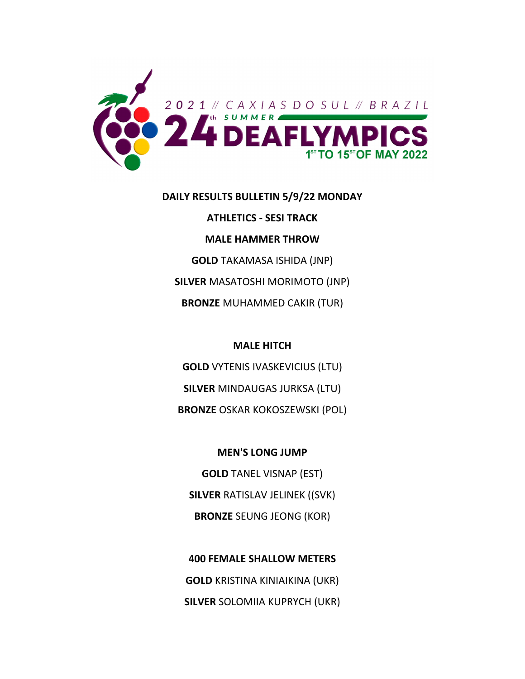

#### **DAILY RESULTS BULLETIN 5/9/22 MONDAY**

**ATHLETICS ‐ SESI TRACK MALE HAMMER THROW GOLD** TAKAMASA ISHIDA (JNP) **SILVER** MASATOSHI MORIMOTO (JNP) **BRONZE** MUHAMMED CAKIR (TUR)

## **MALE HITCH**

**GOLD** VYTENIS IVASKEVICIUS (LTU) **SILVER** MINDAUGAS JURKSA (LTU) **BRONZE** OSKAR KOKOSZEWSKI (POL)

## **MEN'S LONG JUMP**

**GOLD** TANEL VISNAP (EST) **SILVER** RATISLAV JELINEK ((SVK) **BRONZE** SEUNG JEONG (KOR)

**400 FEMALE SHALLOW METERS GOLD** KRISTINA KINIAIKINA (UKR) **SILVER** SOLOMIIA KUPRYCH (UKR)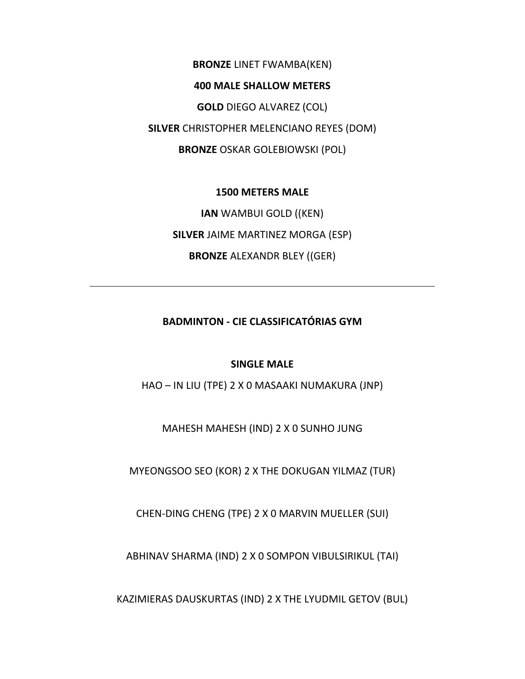**BRONZE** LINET FWAMBA(KEN) **400 MALE SHALLOW METERS GOLD** DIEGO ALVAREZ (COL) **SILVER** CHRISTOPHER MELENCIANO REYES (DOM) **BRONZE** OSKAR GOLEBIOWSKI (POL)

## **1500 METERS MALE**

**IAN** WAMBUI GOLD ((KEN) **SILVER** JAIME MARTINEZ MORGA (ESP) **BRONZE** ALEXANDR BLEY ((GER)

**BADMINTON ‐ CIE CLASSIFICATÓRIAS GYM**

# **SINGLE MALE**

HAO – IN LIU (TPE) 2 X 0 MASAAKI NUMAKURA (JNP)

MAHESH MAHESH (IND) 2 X 0 SUNHO JUNG

MYEONGSOO SEO (KOR) 2 X THE DOKUGAN YILMAZ (TUR)

CHEN‐DING CHENG (TPE) 2 X 0 MARVIN MUELLER (SUI)

ABHINAV SHARMA (IND) 2 X 0 SOMPON VIBULSIRIKUL (TAI)

KAZIMIERAS DAUSKURTAS (IND) 2 X THE LYUDMIL GETOV (BUL)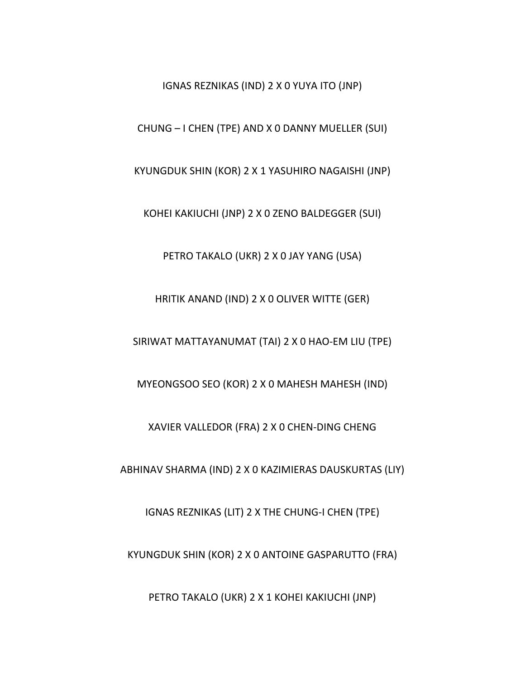IGNAS REZNIKAS (IND) 2 X 0 YUYA ITO (JNP)

CHUNG – I CHEN (TPE) AND X 0 DANNY MUELLER (SUI)

KYUNGDUK SHIN (KOR) 2 X 1 YASUHIRO NAGAISHI (JNP)

KOHEI KAKIUCHI (JNP) 2 X 0 ZENO BALDEGGER (SUI)

PETRO TAKALO (UKR) 2 X 0 JAY YANG (USA)

HRITIK ANAND (IND) 2 X 0 OLIVER WITTE (GER)

SIRIWAT MATTAYANUMAT (TAI) 2 X 0 HAO‐EM LIU (TPE)

MYEONGSOO SEO (KOR) 2 X 0 MAHESH MAHESH (IND)

XAVIER VALLEDOR (FRA) 2 X 0 CHEN‐DING CHENG

ABHINAV SHARMA (IND) 2 X 0 KAZIMIERAS DAUSKURTAS (LIY)

IGNAS REZNIKAS (LIT) 2 X THE CHUNG‐I CHEN (TPE)

KYUNGDUK SHIN (KOR) 2 X 0 ANTOINE GASPARUTTO (FRA)

PETRO TAKALO (UKR) 2 X 1 KOHEI KAKIUCHI (JNP)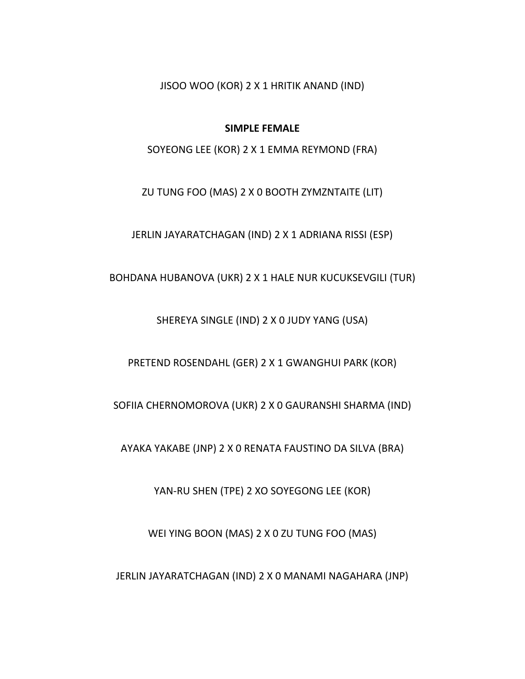JISOO WOO (KOR) 2 X 1 HRITIK ANAND (IND)

### **SIMPLE FEMALE**

SOYEONG LEE (KOR) 2 X 1 EMMA REYMOND (FRA)

ZU TUNG FOO (MAS) 2 X 0 BOOTH ZYMZNTAITE (LIT)

JERLIN JAYARATCHAGAN (IND) 2 X 1 ADRIANA RISSI (ESP)

BOHDANA HUBANOVA (UKR) 2 X 1 HALE NUR KUCUKSEVGILI (TUR)

SHEREYA SINGLE (IND) 2 X 0 JUDY YANG (USA)

PRETEND ROSENDAHL (GER) 2 X 1 GWANGHUI PARK (KOR)

SOFIIA CHERNOMOROVA (UKR) 2 X 0 GAURANSHI SHARMA (IND)

AYAKA YAKABE (JNP) 2 X 0 RENATA FAUSTINO DA SILVA (BRA)

YAN‐RU SHEN (TPE) 2 XO SOYEGONG LEE (KOR)

WEI YING BOON (MAS) 2 X 0 ZU TUNG FOO (MAS)

JERLIN JAYARATCHAGAN (IND) 2 X 0 MANAMI NAGAHARA (JNP)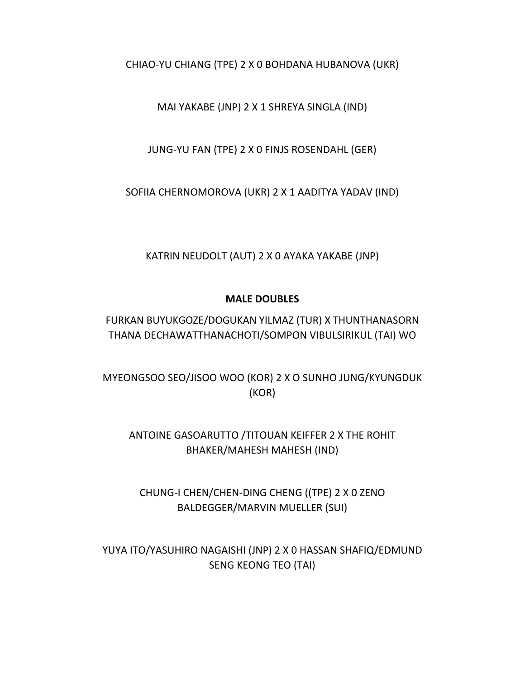CHIAO‐YU CHIANG (TPE) 2 X 0 BOHDANA HUBANOVA (UKR)

MAI YAKABE (JNP) 2 X 1 SHREYA SINGLA (IND)

JUNG‐YU FAN (TPE) 2 X 0 FINJS ROSENDAHL (GER)

SOFIIA CHERNOMOROVA (UKR) 2 X 1 AADITYA YADAV (IND)

KATRIN NEUDOLT (AUT) 2 X 0 AYAKA YAKABE (JNP)

# **MALE DOUBLES**

FURKAN BUYUKGOZE/DOGUKAN YILMAZ (TUR) X THUNTHANASORN THANA DECHAWATTHANACHOTI/SOMPON VIBULSIRIKUL (TAI) WO

MYEONGSOO SEO/JISOO WOO (KOR) 2 X O SUNHO JUNG/KYUNGDUK (KOR)

ANTOINE GASOARUTTO /TITOUAN KEIFFER 2 X THE ROHIT BHAKER/MAHESH MAHESH (IND)

CHUNG‐I CHEN/CHEN‐DING CHENG ((TPE) 2 X 0 ZENO BALDEGGER/MARVIN MUELLER (SUI)

YUYA ITO/YASUHIRO NAGAISHI (JNP) 2 X 0 HASSAN SHAFIQ/EDMUND SENG KEONG TEO (TAI)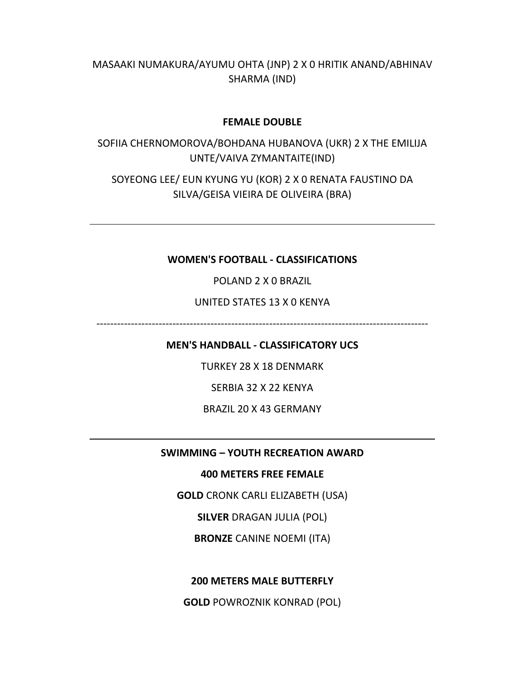MASAAKI NUMAKURA/AYUMU OHTA (JNP) 2 X 0 HRITIK ANAND/ABHINAV SHARMA (IND)

## **FEMALE DOUBLE**

SOFIIA CHERNOMOROVA/BOHDANA HUBANOVA (UKR) 2 X THE EMILIJA UNTE/VAIVA ZYMANTAITE(IND)

SOYEONG LEE/ EUN KYUNG YU (KOR) 2 X 0 RENATA FAUSTINO DA SILVA/GEISA VIEIRA DE OLIVEIRA (BRA)

# **WOMEN'S FOOTBALL ‐ CLASSIFICATIONS**

POLAND 2 X 0 BRAZIL

# UNITED STATES 13 X 0 KENYA

‐‐‐‐‐‐‐‐‐‐‐‐‐‐‐‐‐‐‐‐‐‐‐‐‐‐‐‐‐‐‐‐‐‐‐‐‐‐‐‐‐‐‐‐‐‐‐‐‐‐‐‐‐‐‐‐‐‐‐‐‐‐‐‐‐‐‐‐‐‐‐‐‐‐‐‐‐‐‐‐‐‐‐‐‐‐‐‐‐‐‐‐‐‐‐‐

**MEN'S HANDBALL ‐ CLASSIFICATORY UCS**

TURKEY 28 X 18 DENMARK

SERBIA 32 X 22 KENYA

BRAZIL 20 X 43 GERMANY

#### **SWIMMING – YOUTH RECREATION AWARD**

# **400 METERS FREE FEMALE**

**GOLD** CRONK CARLI ELIZABETH (USA)

**SILVER** DRAGAN JULIA (POL)

**BRONZE** CANINE NOEMI (ITA)

**200 METERS MALE BUTTERFLY**

**GOLD** POWROZNIK KONRAD (POL)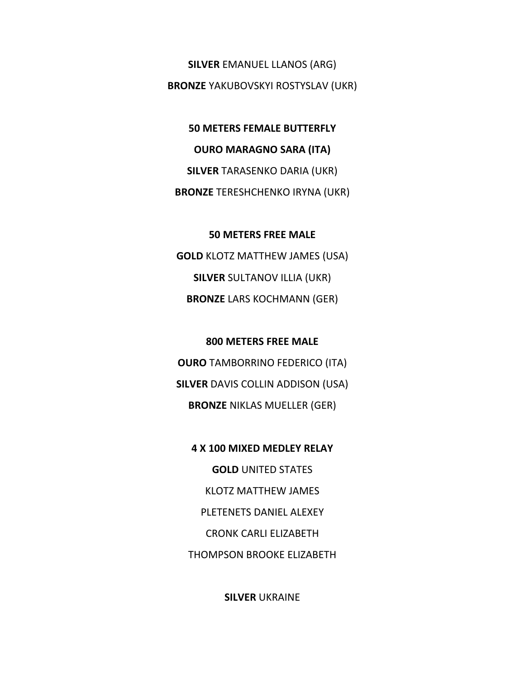**SILVER** EMANUEL LLANOS (ARG) **BRONZE** YAKUBOVSKYI ROSTYSLAV (UKR)

**50 METERS FEMALE BUTTERFLY OURO MARAGNO SARA (ITA) SILVER** TARASENKO DARIA (UKR) **BRONZE** TERESHCHENKO IRYNA (UKR)

**50 METERS FREE MALE GOLD** KLOTZ MATTHEW JAMES (USA) **SILVER** SULTANOV ILLIA (UKR) **BRONZE** LARS KOCHMANN (GER)

**800 METERS FREE MALE OURO** TAMBORRINO FEDERICO (ITA) **SILVER** DAVIS COLLIN ADDISON (USA) **BRONZE** NIKLAS MUELLER (GER)

**4 X 100 MIXED MEDLEY RELAY GOLD** UNITED STATES KLOTZ MATTHEW JAMES PLETENETS DANIEL ALEXEY CRONK CARLI ELIZABETH THOMPSON BROOKE ELIZABETH

**SILVER** UKRAINE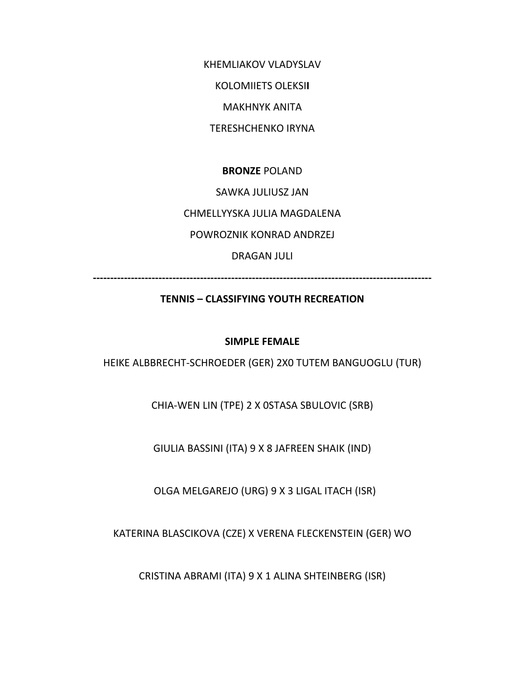KHEMLIAKOV VLADYSLAV

KOLOMIIETS OLEKSI**I**

MAKHNYK ANITA

TERESHCHENKO IRYNA

**BRONZE** POLAND

SAWKA JULIUSZ JAN

CHMELLYYSKA JULIA MAGDALENA

POWROZNIK KONRAD ANDRZEJ

DRAGAN JULI

**‐‐‐‐‐‐‐‐‐‐‐‐‐‐‐‐‐‐‐‐‐‐‐‐‐‐‐‐‐‐‐‐‐‐‐‐‐‐‐‐‐‐‐‐‐‐‐‐‐‐‐‐‐‐‐‐‐‐‐‐‐‐‐‐‐‐‐‐‐‐‐‐‐‐‐‐‐‐‐‐‐‐‐‐‐‐‐‐‐‐‐‐‐‐‐‐‐‐** 

# **TENNIS – CLASSIFYING YOUTH RECREATION**

# **SIMPLE FEMALE**

HEIKE ALBBRECHT‐SCHROEDER (GER) 2X0 TUTEM BANGUOGLU (TUR)

CHIA‐WEN LIN (TPE) 2 X 0STASA SBULOVIC (SRB)

GIULIA BASSINI (ITA) 9 X 8 JAFREEN SHAIK (IND)

OLGA MELGAREJO (URG) 9 X 3 LIGAL ITACH (ISR)

KATERINA BLASCIKOVA (CZE) X VERENA FLECKENSTEIN (GER) WO

CRISTINA ABRAMI (ITA) 9 X 1 ALINA SHTEINBERG (ISR)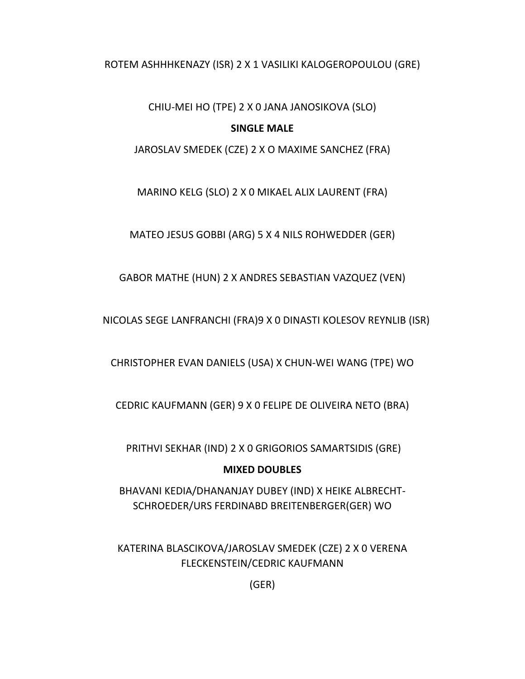# ROTEM ASHHHKENAZY (ISR) 2 X 1 VASILIKI KALOGEROPOULOU (GRE)

CHIU‐MEI HO (TPE) 2 X 0 JANA JANOSIKOVA (SLO)

# **SINGLE MALE**

JAROSLAV SMEDEK (CZE) 2 X O MAXIME SANCHEZ (FRA)

MARINO KELG (SLO) 2 X 0 MIKAEL ALIX LAURENT (FRA)

MATEO JESUS GOBBI (ARG) 5 X 4 NILS ROHWEDDER (GER)

GABOR MATHE (HUN) 2 X ANDRES SEBASTIAN VAZQUEZ (VEN)

NICOLAS SEGE LANFRANCHI (FRA)9 X 0 DINASTI KOLESOV REYNLIB (ISR)

CHRISTOPHER EVAN DANIELS (USA) X CHUN‐WEI WANG (TPE) WO

CEDRIC KAUFMANN (GER) 9 X 0 FELIPE DE OLIVEIRA NETO (BRA)

PRITHVI SEKHAR (IND) 2 X 0 GRIGORIOS SAMARTSIDIS (GRE)

# **MIXED DOUBLES**

BHAVANI KEDIA/DHANANJAY DUBEY (IND) X HEIKE ALBRECHT‐ SCHROEDER/URS FERDINABD BREITENBERGER(GER) WO

KATERINA BLASCIKOVA/JAROSLAV SMEDEK (CZE) 2 X 0 VERENA FLECKENSTEIN/CEDRIC KAUFMANN

(GER)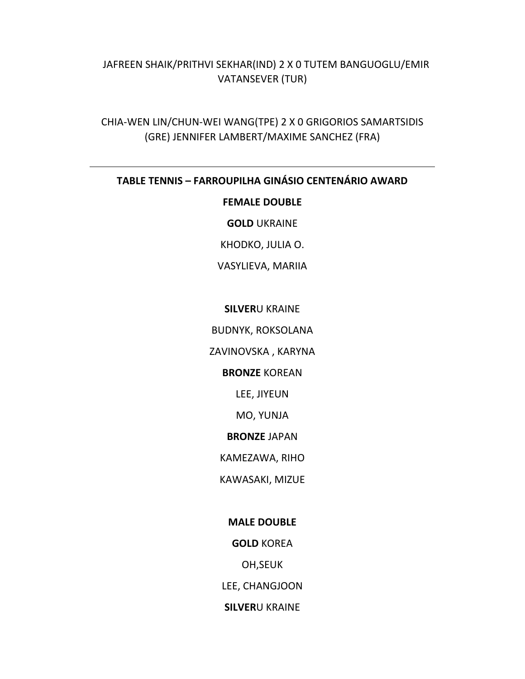# JAFREEN SHAIK/PRITHVI SEKHAR(IND) 2 X 0 TUTEM BANGUOGLU/EMIR VATANSEVER (TUR)

CHIA‐WEN LIN/CHUN‐WEI WANG(TPE) 2 X 0 GRIGORIOS SAMARTSIDIS (GRE) JENNIFER LAMBERT/MAXIME SANCHEZ (FRA)

# **TABLE TENNIS – FARROUPILHA GINÁSIO CENTENÁRIO AWARD**

### **FEMALE DOUBLE**

**GOLD** UKRAINE

KHODKO, JULIA O.

VASYLIEVA, MARIIA

# **SILVER**U KRAINE

BUDNYK, ROKSOLANA

ZAVINOVSKA , KARYNA

# **BRONZE** KOREAN

LEE, JIYEUN

MO, YUNJA

#### **BRONZE** JAPAN

KAMEZAWA, RIHO

KAWASAKI, MIZUE

#### **MALE DOUBLE**

**GOLD** KOREA

OH,SEUK

LEE, CHANGJOON

**SILVER**U KRAINE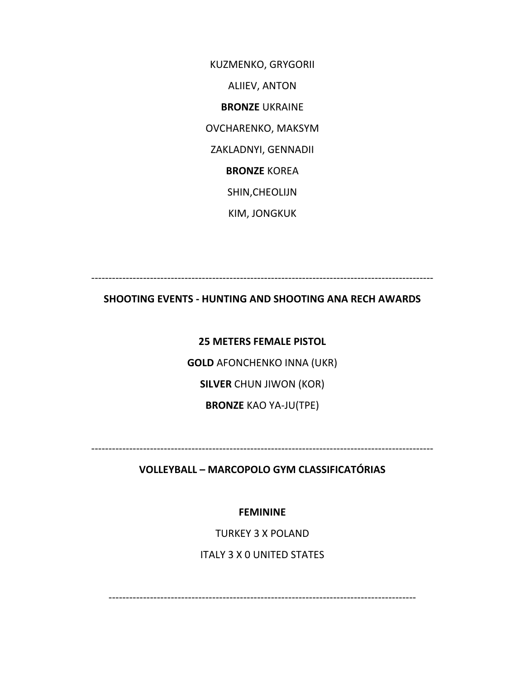KUZMENKO, GRYGORII ALIIEV, ANTON **BRONZE** UKRAINE OVCHARENKO, MAKSYM ZAKLADNYI, GENNADII **BRONZE** KOREA SHIN,CHEOLIJN KIM, JONGKUK

‐‐‐‐‐‐‐‐‐‐‐‐‐‐‐‐‐‐‐‐‐‐‐‐‐‐‐‐‐‐‐‐‐‐‐‐‐‐‐‐‐‐‐‐‐‐‐‐‐‐‐‐‐‐‐‐‐‐‐‐‐‐‐‐‐‐‐‐‐‐‐‐‐‐‐‐‐‐‐‐‐‐‐‐‐‐‐‐‐‐‐‐‐‐‐‐‐‐‐

# **SHOOTING EVENTS ‐ HUNTING AND SHOOTING ANA RECH AWARDS**

**25 METERS FEMALE PISTOL GOLD** AFONCHENKO INNA (UKR) **SILVER** CHUN JIWON (KOR) **BRONZE** KAO YA‐JU(TPE)

‐‐‐‐‐‐‐‐‐‐‐‐‐‐‐‐‐‐‐‐‐‐‐‐‐‐‐‐‐‐‐‐‐‐‐‐‐‐‐‐‐‐‐‐‐‐‐‐‐‐‐‐‐‐‐‐‐‐‐‐‐‐‐‐‐‐‐‐‐‐‐‐‐‐‐‐‐‐‐‐‐‐‐‐‐‐‐‐‐‐‐‐‐‐‐‐‐‐‐

**VOLLEYBALL – MARCOPOLO GYM CLASSIFICATÓRIAS**

**FEMININE**

TURKEY 3 X POLAND

ITALY 3 X 0 UNITED STATES

‐‐‐‐‐‐‐‐‐‐‐‐‐‐‐‐‐‐‐‐‐‐‐‐‐‐‐‐‐‐‐‐‐‐‐‐‐‐‐‐‐‐‐‐‐‐‐‐‐‐‐‐‐‐‐‐‐‐‐‐‐‐‐‐‐‐‐‐‐‐‐‐‐‐‐‐‐‐‐‐‐‐‐‐‐‐‐‐‐